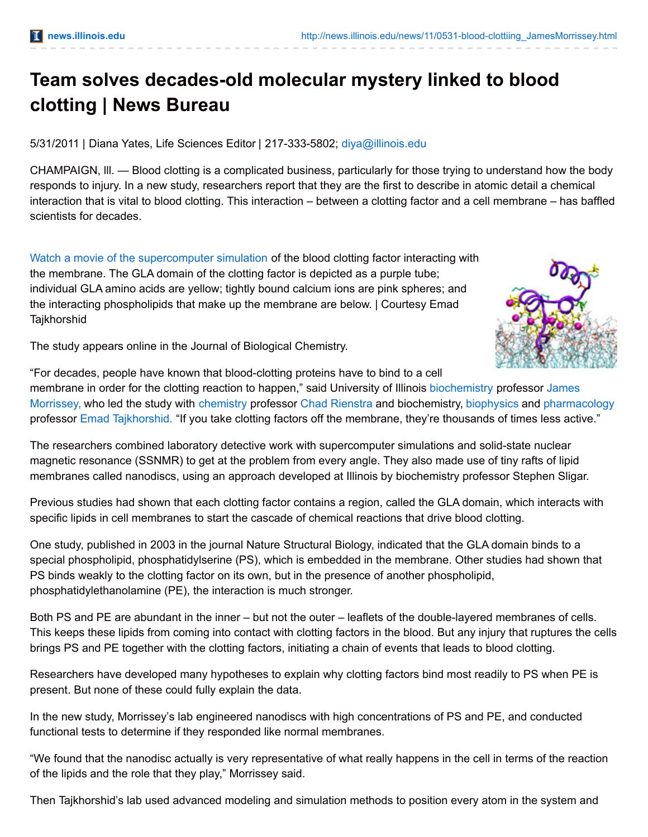## **Team solves decades-old molecular mystery linked to blood clotting | News Bureau**

5/31/2011 | Diana Yates, Life Sciences Editor | 217-333-5802; [diya@illinois.edu](mailto:diya@illinois.edu)

CHAMPAIGN, lll. — Blood clotting is a complicated business, particularly for those trying to understand how the body responds to injury. In a new study, researchers report that they are the first to describe in atomic detail a chemical interaction that is vital to blood clotting. This interaction – between a clotting factor and a cell membrane – has baffled scientists for decades.

Watch a movie of the [supercomputer](http://www.youtube.com/watch?v=o-Hck-ldzDo) simulation of the blood clotting factor interacting with the membrane. The GLA domain of the clotting factor is depicted as a purple tube; individual GLA amino acids are yellow; tightly bound calcium ions are pink spheres; and the interacting phospholipids that make up the membrane are below. | Courtesy Emad **Tajkhorshid** 



The study appears online in the Journal of Biological Chemistry.

"For decades, people have known that blood-clotting proteins have to bind to a cell membrane in order for the clotting reaction to happen," said University of Illinois [biochemistry](http://mcb.illinois.edu/faculty/profile/jhmorris) professor James Morrissey, who led the study with [chemistry](http://chemistry.illinois.edu/) professor Chad [Rienstra](http://www.scs.illinois.edu/rienstra/) and biochemistry, [biophysics](http://www.life.illinois.edu/biophysics/) and [pharmacology](https://www.med.illinois.edu/m2/pharmacology/) professor Emad [Tajkhorshid.](http://www.beckman.illinois.edu/directory/tajkhors) "If you take clotting factors off the membrane, they're thousands of times less active."

The researchers combined laboratory detective work with supercomputer simulations and solid-state nuclear magnetic resonance (SSNMR) to get at the problem from every angle. They also made use of tiny rafts of lipid membranes called nanodiscs, using an approach developed at Illinois by biochemistry professor Stephen Sligar.

Previous studies had shown that each clotting factor contains a region, called the GLA domain, which interacts with specific lipids in cell membranes to start the cascade of chemical reactions that drive blood clotting.

One study, published in 2003 in the journal Nature Structural Biology, indicated that the GLA domain binds to a special phospholipid, phosphatidylserine (PS), which is embedded in the membrane. Other studies had shown that PS binds weakly to the clotting factor on its own, but in the presence of another phospholipid, phosphatidylethanolamine (PE), the interaction is much stronger.

Both PS and PE are abundant in the inner – but not the outer – leaflets of the double-layered membranes of cells. This keeps these lipids from coming into contact with clotting factors in the blood. But any injury that ruptures the cells brings PS and PE together with the clotting factors, initiating a chain of events that leads to blood clotting.

Researchers have developed many hypotheses to explain why clotting factors bind most readily to PS when PE is present. But none of these could fully explain the data.

In the new study, Morrissey's lab engineered nanodiscs with high concentrations of PS and PE, and conducted functional tests to determine if they responded like normal membranes.

"We found that the nanodisc actually is very representative of what really happens in the cell in terms of the reaction of the lipids and the role that they play," Morrissey said.

Then Tajkhorshid's lab used advanced modeling and simulation methods to position every atom in the system and